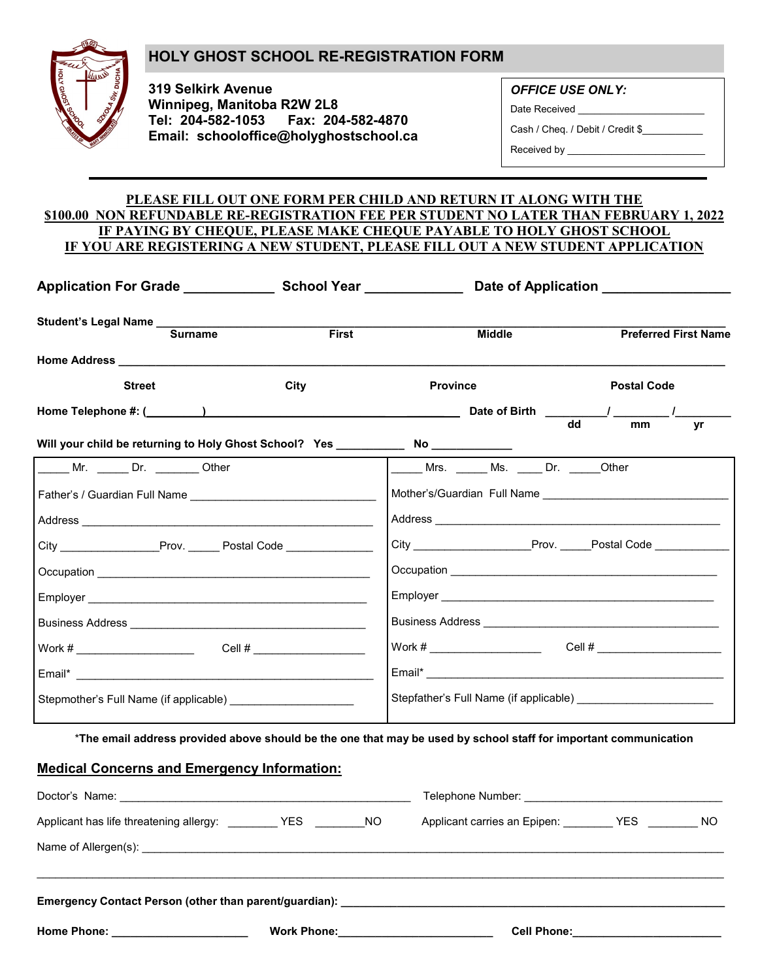## **HOLY GHOST SCHOOL RE-REGISTRATION FORM**



**319 Selkirk Avenue Winnipeg, Manitoba R2W 2L8 Tel: 204-582-1053 Fax: 204-582-4870 Email: schooloffice@holyghostschool.ca** *OFFICE USE ONLY:*

Date Received \_\_\_\_

Cash / Cheq. / Debit / Credit \$\_\_\_\_\_\_\_\_\_\_\_

Received by \_\_\_\_\_\_\_\_\_\_\_\_\_\_\_\_\_\_\_\_\_\_\_\_\_

## **PLEASE FILL OUT ONE FORM PER CHILD AND RETURN IT ALONG WITH THE \$100.00 NON REFUNDABLE RE-REGISTRATION FEE PER STUDENT NO LATER THAN FEBRUARY 1, 2022 IF PAYING BY CHEQUE, PLEASE MAKE CHEQUE PAYABLE TO HOLY GHOST SCHOOL IF YOU ARE REGISTERING A NEW STUDENT, PLEASE FILL OUT A NEW STUDENT APPLICATION**

| <b>Surname</b>                                                                        | <b>First</b> | <b>Middle</b>                          | <b>Preferred First Name</b>          |
|---------------------------------------------------------------------------------------|--------------|----------------------------------------|--------------------------------------|
|                                                                                       |              |                                        |                                      |
| <b>Street</b>                                                                         | City         | <b>Province</b>                        | <b>Postal Code</b>                   |
| Home Telephone #: (________)                            Date of Birth       / _______ |              |                                        |                                      |
| Will your child be returning to Holy Ghost School? Yes _____________ No __________    |              |                                        | $\overline{\mathsf{dd}}$<br>mm<br>yr |
| Mr. Dr. Dr. Other                                                                     |              | Mrs. Ms. Dr. Other                     |                                      |
|                                                                                       |              |                                        |                                      |
|                                                                                       |              |                                        |                                      |
|                                                                                       |              |                                        |                                      |
|                                                                                       |              |                                        |                                      |
|                                                                                       |              |                                        |                                      |
|                                                                                       |              |                                        |                                      |
|                                                                                       |              |                                        |                                      |
|                                                                                       |              |                                        |                                      |
|                                                                                       |              | Stepfather's Full Name (if applicable) |                                      |

\***The email address provided above should be the one that may be used by school staff for important communication**

## **Medical Concerns and Emergency Information:**

| Home Phone: ________________________ |  |  | Work Phone: <u>________________________</u><br>Cell Phone: <u>Cell Phone</u> |  |  |
|--------------------------------------|--|--|------------------------------------------------------------------------------|--|--|